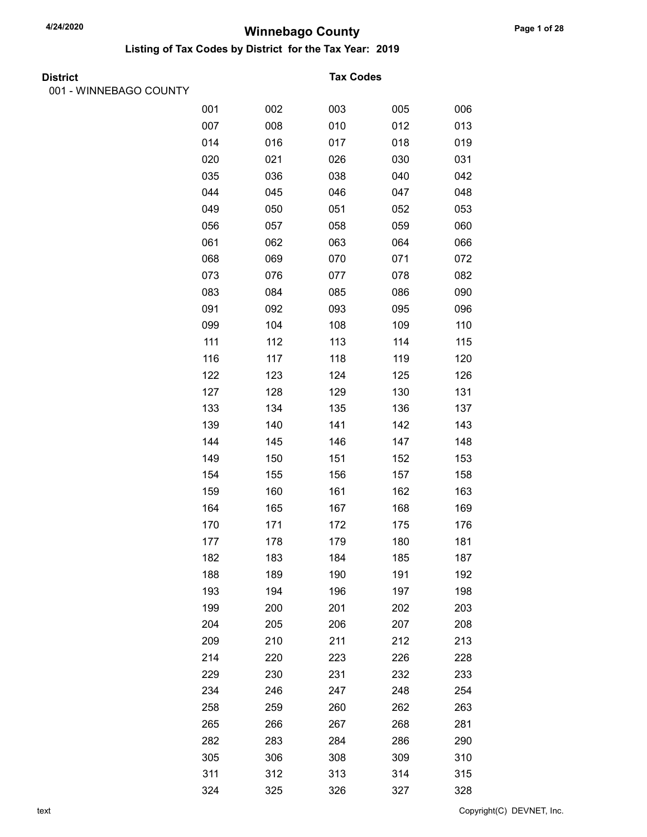Listing of Tax Codes by District for the Tax Year: 2019

|  | <b>District</b> |
|--|-----------------|
|  |                 |

001 - WINNEBAGO COUNTY

#### **Tax Codes**

| . |     |     |     |     |     |
|---|-----|-----|-----|-----|-----|
|   | 001 | 002 | 003 | 005 | 006 |
|   | 007 | 008 | 010 | 012 | 013 |
|   | 014 | 016 | 017 | 018 | 019 |
|   | 020 | 021 | 026 | 030 | 031 |
|   | 035 | 036 | 038 | 040 | 042 |
|   | 044 | 045 | 046 | 047 | 048 |
|   | 049 | 050 | 051 | 052 | 053 |
|   | 056 | 057 | 058 | 059 | 060 |
|   | 061 | 062 | 063 | 064 | 066 |
|   | 068 | 069 | 070 | 071 | 072 |
|   | 073 | 076 | 077 | 078 | 082 |
|   | 083 | 084 | 085 | 086 | 090 |
|   | 091 | 092 | 093 | 095 | 096 |
|   | 099 | 104 | 108 | 109 | 110 |
|   | 111 | 112 | 113 | 114 | 115 |
|   | 116 | 117 | 118 | 119 | 120 |
|   | 122 | 123 | 124 | 125 | 126 |
|   | 127 | 128 | 129 | 130 | 131 |
|   | 133 | 134 | 135 | 136 | 137 |
|   | 139 | 140 | 141 | 142 | 143 |
|   | 144 | 145 | 146 | 147 | 148 |
|   | 149 | 150 | 151 | 152 | 153 |
|   | 154 | 155 | 156 | 157 | 158 |
|   | 159 | 160 | 161 | 162 | 163 |
|   | 164 | 165 | 167 | 168 | 169 |
|   | 170 | 171 | 172 | 175 | 176 |
|   | 177 | 178 | 179 | 180 | 181 |
|   | 182 | 183 | 184 | 185 | 187 |
|   | 188 | 189 | 190 | 191 | 192 |
|   | 193 | 194 | 196 | 197 | 198 |
|   | 199 | 200 | 201 | 202 | 203 |
|   | 204 | 205 | 206 | 207 | 208 |
|   | 209 | 210 | 211 | 212 | 213 |
|   | 214 | 220 | 223 | 226 | 228 |
|   | 229 | 230 | 231 | 232 | 233 |
|   | 234 | 246 | 247 | 248 | 254 |
|   | 258 | 259 | 260 | 262 | 263 |
|   | 265 | 266 | 267 | 268 | 281 |
|   | 282 | 283 | 284 | 286 | 290 |
|   | 305 | 306 | 308 | 309 | 310 |
|   | 311 | 312 | 313 | 314 | 315 |
|   | 324 | 325 | 326 | 327 | 328 |

text Copyright(C) DEVNET, Inc.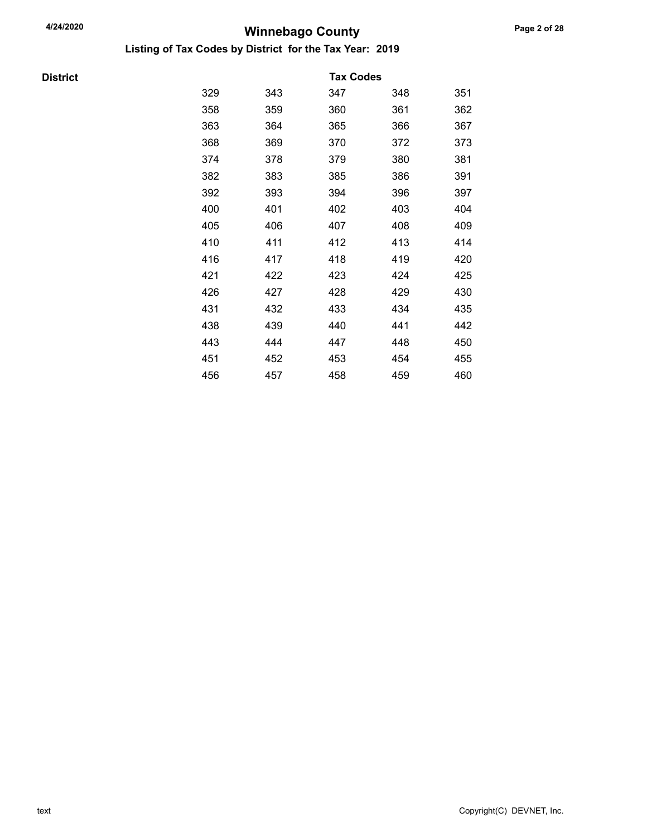Listing of Tax Codes by District for the Tax Year: 2019

**District** 

|     |     | <b>Tax Codes</b> |     |     |
|-----|-----|------------------|-----|-----|
| 329 | 343 | 347              | 348 | 351 |
| 358 | 359 | 360              | 361 | 362 |
| 363 | 364 | 365              | 366 | 367 |
| 368 | 369 | 370              | 372 | 373 |
| 374 | 378 | 379              | 380 | 381 |
| 382 | 383 | 385              | 386 | 391 |
| 392 | 393 | 394              | 396 | 397 |
| 400 | 401 | 402              | 403 | 404 |
| 405 | 406 | 407              | 408 | 409 |
| 410 | 411 | 412              | 413 | 414 |
| 416 | 417 | 418              | 419 | 420 |
| 421 | 422 | 423              | 424 | 425 |
| 426 | 427 | 428              | 429 | 430 |
| 431 | 432 | 433              | 434 | 435 |
| 438 | 439 | 440              | 441 | 442 |
| 443 | 444 | 447              | 448 | 450 |
| 451 | 452 | 453              | 454 | 455 |
| 456 | 457 | 458              | 459 | 460 |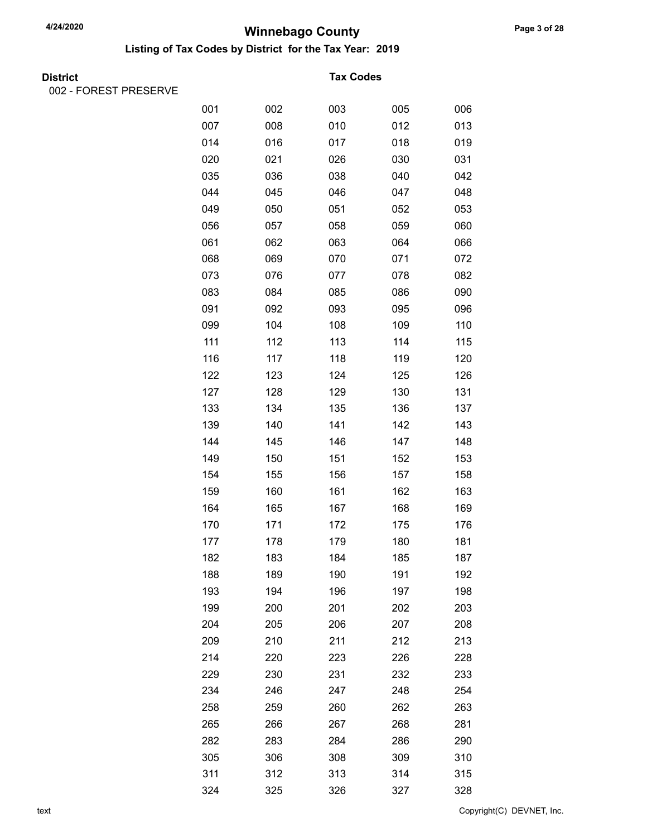Listing of Tax Codes by District for the Tax Year: 2019

002 - FOREST PRESERVE

#### **Tax Codes**

| \LVIII\LVLI\VL |     |     |     |     |     |
|----------------|-----|-----|-----|-----|-----|
|                | 001 | 002 | 003 | 005 | 006 |
|                | 007 | 008 | 010 | 012 | 013 |
|                | 014 | 016 | 017 | 018 | 019 |
|                | 020 | 021 | 026 | 030 | 031 |
|                | 035 | 036 | 038 | 040 | 042 |
|                | 044 | 045 | 046 | 047 | 048 |
|                | 049 | 050 | 051 | 052 | 053 |
|                | 056 | 057 | 058 | 059 | 060 |
|                | 061 | 062 | 063 | 064 | 066 |
|                | 068 | 069 | 070 | 071 | 072 |
|                | 073 | 076 | 077 | 078 | 082 |
|                | 083 | 084 | 085 | 086 | 090 |
|                | 091 | 092 | 093 | 095 | 096 |
|                | 099 | 104 | 108 | 109 | 110 |
|                | 111 | 112 | 113 | 114 | 115 |
|                | 116 | 117 | 118 | 119 | 120 |
|                | 122 | 123 | 124 | 125 | 126 |
|                | 127 | 128 | 129 | 130 | 131 |
|                | 133 | 134 | 135 | 136 | 137 |
|                | 139 | 140 | 141 | 142 | 143 |
|                | 144 | 145 | 146 | 147 | 148 |
|                | 149 | 150 | 151 | 152 | 153 |
|                | 154 | 155 | 156 | 157 | 158 |
|                | 159 | 160 | 161 | 162 | 163 |
|                | 164 | 165 | 167 | 168 | 169 |
|                | 170 | 171 | 172 | 175 | 176 |
|                | 177 | 178 | 179 | 180 | 181 |
|                | 182 | 183 | 184 | 185 | 187 |
|                | 188 | 189 | 190 | 191 | 192 |
|                | 193 | 194 | 196 | 197 | 198 |
|                | 199 | 200 | 201 | 202 | 203 |
|                | 204 | 205 | 206 | 207 | 208 |
|                | 209 | 210 | 211 | 212 | 213 |
|                | 214 | 220 | 223 | 226 | 228 |
|                | 229 | 230 | 231 | 232 | 233 |
|                | 234 | 246 | 247 | 248 | 254 |
|                | 258 | 259 | 260 | 262 | 263 |
|                | 265 | 266 | 267 | 268 | 281 |
|                | 282 | 283 | 284 | 286 | 290 |
|                | 305 | 306 | 308 | 309 | 310 |
|                | 311 | 312 | 313 | 314 | 315 |
|                | 324 | 325 | 326 | 327 | 328 |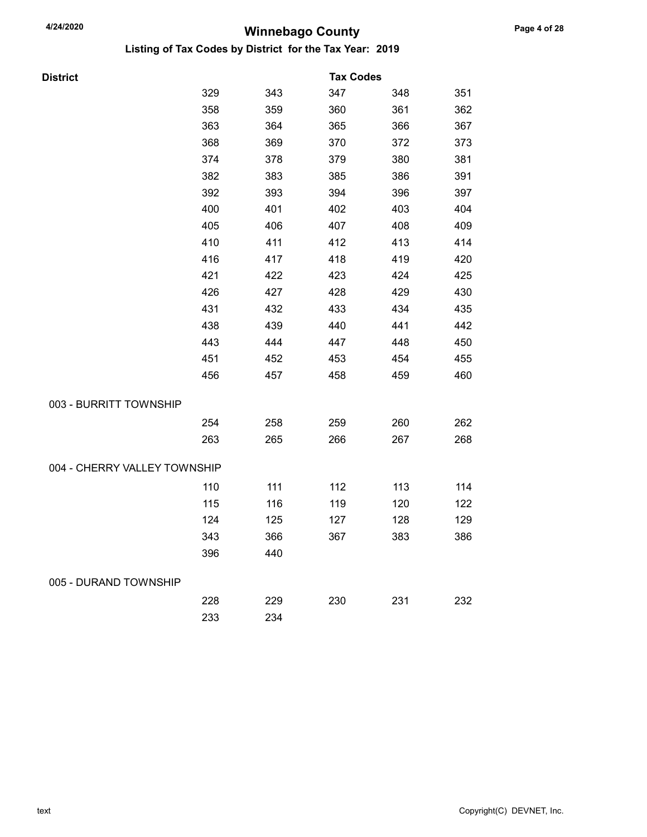| <b>District</b>              |     |     | <b>Tax Codes</b> |     |     |
|------------------------------|-----|-----|------------------|-----|-----|
|                              | 329 | 343 | 347              | 348 | 351 |
|                              | 358 | 359 | 360              | 361 | 362 |
|                              | 363 | 364 | 365              | 366 | 367 |
|                              | 368 | 369 | 370              | 372 | 373 |
|                              | 374 | 378 | 379              | 380 | 381 |
|                              | 382 | 383 | 385              | 386 | 391 |
|                              | 392 | 393 | 394              | 396 | 397 |
|                              | 400 | 401 | 402              | 403 | 404 |
|                              | 405 | 406 | 407              | 408 | 409 |
|                              | 410 | 411 | 412              | 413 | 414 |
|                              | 416 | 417 | 418              | 419 | 420 |
|                              | 421 | 422 | 423              | 424 | 425 |
|                              | 426 | 427 | 428              | 429 | 430 |
|                              | 431 | 432 | 433              | 434 | 435 |
|                              | 438 | 439 | 440              | 441 | 442 |
|                              | 443 | 444 | 447              | 448 | 450 |
|                              | 451 | 452 | 453              | 454 | 455 |
|                              | 456 | 457 | 458              | 459 | 460 |
| 003 - BURRITT TOWNSHIP       |     |     |                  |     |     |
|                              | 254 | 258 | 259              | 260 | 262 |
|                              | 263 | 265 | 266              | 267 | 268 |
| 004 - CHERRY VALLEY TOWNSHIP |     |     |                  |     |     |
|                              | 110 | 111 | 112              | 113 | 114 |
|                              | 115 | 116 | 119              | 120 | 122 |
|                              | 124 | 125 | 127              | 128 | 129 |
|                              | 343 | 366 | 367              | 383 | 386 |
|                              | 396 | 440 |                  |     |     |
| 005 - DURAND TOWNSHIP        |     |     |                  |     |     |
|                              | 228 | 229 | 230              | 231 | 232 |
|                              | 233 | 234 |                  |     |     |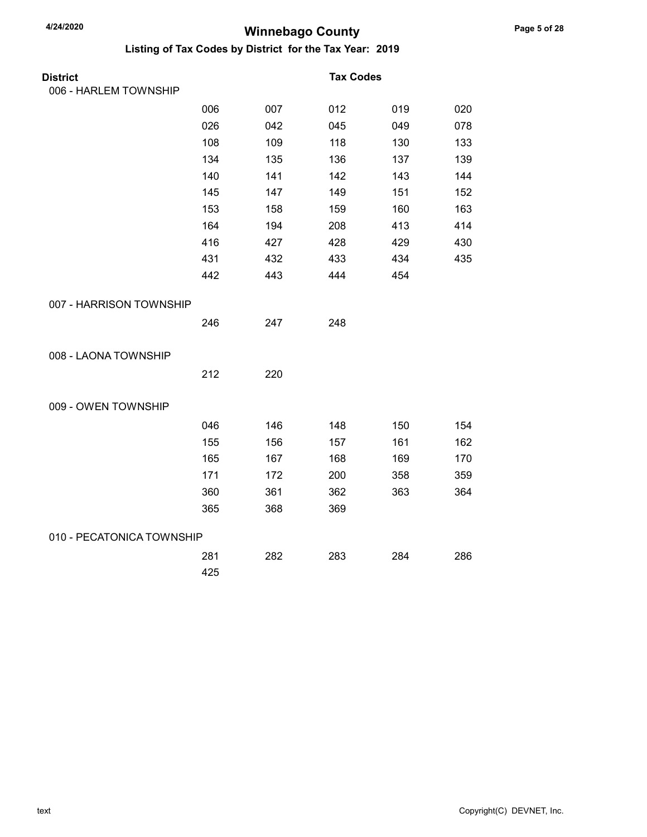| <b>District</b>           |     |     | <b>Tax Codes</b> |     |     |
|---------------------------|-----|-----|------------------|-----|-----|
| 006 - HARLEM TOWNSHIP     |     |     |                  |     |     |
|                           | 006 | 007 | 012              | 019 | 020 |
|                           | 026 | 042 | 045              | 049 | 078 |
|                           | 108 | 109 | 118              | 130 | 133 |
|                           | 134 | 135 | 136              | 137 | 139 |
|                           | 140 | 141 | 142              | 143 | 144 |
|                           | 145 | 147 | 149              | 151 | 152 |
|                           | 153 | 158 | 159              | 160 | 163 |
|                           | 164 | 194 | 208              | 413 | 414 |
|                           | 416 | 427 | 428              | 429 | 430 |
|                           | 431 | 432 | 433              | 434 | 435 |
|                           | 442 | 443 | 444              | 454 |     |
| 007 - HARRISON TOWNSHIP   |     |     |                  |     |     |
|                           | 246 | 247 | 248              |     |     |
| 008 - LAONA TOWNSHIP      |     |     |                  |     |     |
|                           | 212 | 220 |                  |     |     |
| 009 - OWEN TOWNSHIP       |     |     |                  |     |     |
|                           | 046 | 146 | 148              | 150 | 154 |
|                           | 155 | 156 | 157              | 161 | 162 |
|                           | 165 | 167 | 168              | 169 | 170 |
|                           | 171 | 172 | 200              | 358 | 359 |
|                           | 360 | 361 | 362              | 363 | 364 |
|                           | 365 | 368 | 369              |     |     |
| 010 - PECATONICA TOWNSHIP |     |     |                  |     |     |
|                           | 281 | 282 | 283              | 284 | 286 |
|                           | 425 |     |                  |     |     |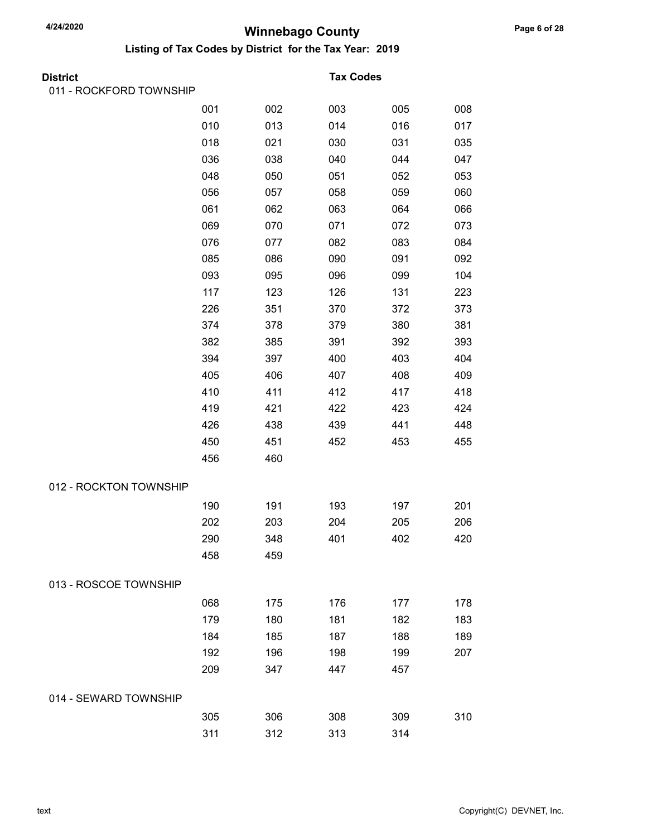| District                |     |     | <b>Tax Codes</b> |     |     |
|-------------------------|-----|-----|------------------|-----|-----|
| 011 - ROCKFORD TOWNSHIP |     |     |                  |     |     |
|                         | 001 | 002 | 003              | 005 | 008 |
|                         | 010 | 013 | 014              | 016 | 017 |
|                         | 018 | 021 | 030              | 031 | 035 |
|                         | 036 | 038 | 040              | 044 | 047 |
|                         | 048 | 050 | 051              | 052 | 053 |
|                         | 056 | 057 | 058              | 059 | 060 |
|                         | 061 | 062 | 063              | 064 | 066 |
|                         | 069 | 070 | 071              | 072 | 073 |
|                         | 076 | 077 | 082              | 083 | 084 |
|                         | 085 | 086 | 090              | 091 | 092 |
|                         | 093 | 095 | 096              | 099 | 104 |
|                         | 117 | 123 | 126              | 131 | 223 |
|                         | 226 | 351 | 370              | 372 | 373 |
|                         | 374 | 378 | 379              | 380 | 381 |
|                         | 382 | 385 | 391              | 392 | 393 |
|                         | 394 | 397 | 400              | 403 | 404 |
|                         | 405 | 406 | 407              | 408 | 409 |
|                         | 410 | 411 | 412              | 417 | 418 |
|                         | 419 | 421 | 422              | 423 | 424 |
|                         | 426 | 438 | 439              | 441 | 448 |
|                         | 450 | 451 | 452              | 453 | 455 |
|                         | 456 | 460 |                  |     |     |
| 012 - ROCKTON TOWNSHIP  |     |     |                  |     |     |
|                         | 190 | 191 | 193              | 197 | 201 |
|                         | 202 | 203 | 204              | 205 | 206 |
|                         | 290 | 348 | 401              | 402 | 420 |
|                         | 458 | 459 |                  |     |     |
| 013 - ROSCOE TOWNSHIP   |     |     |                  |     |     |
|                         | 068 | 175 | 176              | 177 | 178 |
|                         | 179 | 180 | 181              | 182 | 183 |
|                         | 184 | 185 | 187              | 188 | 189 |
|                         | 192 | 196 | 198              | 199 | 207 |
|                         | 209 | 347 | 447              | 457 |     |
| 014 - SEWARD TOWNSHIP   |     |     |                  |     |     |
|                         | 305 | 306 | 308              | 309 | 310 |
|                         | 311 | 312 | 313              | 314 |     |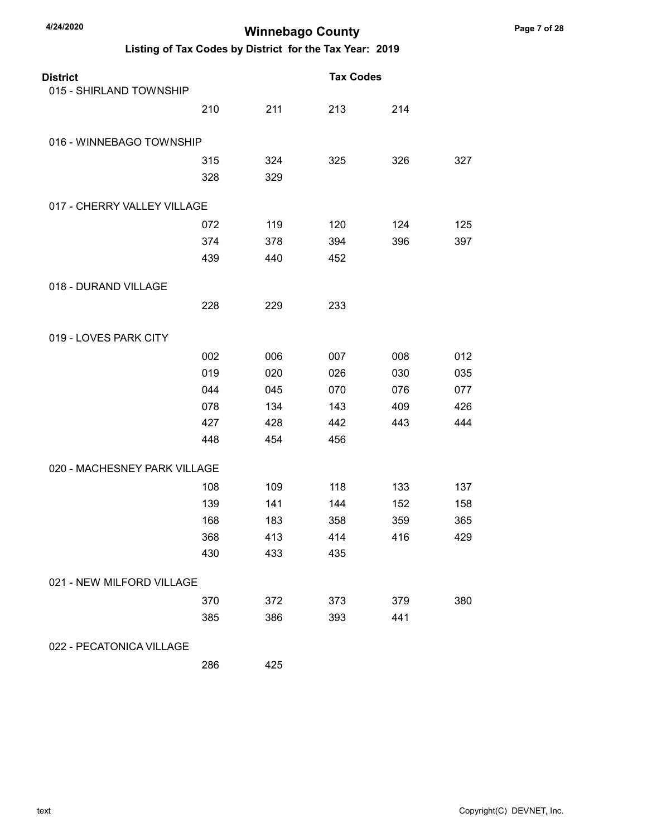### Listing of Tax Codes by District for the Tax Year: 2019

| <b>District</b>              |     |     | <b>Tax Codes</b> |     |     |
|------------------------------|-----|-----|------------------|-----|-----|
| 015 - SHIRLAND TOWNSHIP      |     |     |                  |     |     |
|                              | 210 | 211 | 213              | 214 |     |
| 016 - WINNEBAGO TOWNSHIP     |     |     |                  |     |     |
|                              | 315 | 324 | 325              | 326 | 327 |
|                              | 328 | 329 |                  |     |     |
| 017 - CHERRY VALLEY VILLAGE  |     |     |                  |     |     |
|                              | 072 | 119 | 120              | 124 | 125 |
|                              | 374 | 378 | 394              | 396 | 397 |
|                              | 439 | 440 | 452              |     |     |
| 018 - DURAND VILLAGE         |     |     |                  |     |     |
|                              | 228 | 229 | 233              |     |     |
| 019 - LOVES PARK CITY        |     |     |                  |     |     |
|                              | 002 | 006 | 007              | 008 | 012 |
|                              | 019 | 020 | 026              | 030 | 035 |
|                              | 044 | 045 | 070              | 076 | 077 |
|                              | 078 | 134 | 143              | 409 | 426 |
|                              | 427 | 428 | 442              | 443 | 444 |
|                              | 448 | 454 | 456              |     |     |
| 020 - MACHESNEY PARK VILLAGE |     |     |                  |     |     |
|                              | 108 | 109 | 118              | 133 | 137 |
|                              | 139 | 141 | 144              | 152 | 158 |
|                              | 168 | 183 | 358              | 359 | 365 |
|                              | 368 | 413 | 414              | 416 | 429 |
|                              | 430 | 433 | 435              |     |     |
| 021 - NEW MILFORD VILLAGE    |     |     |                  |     |     |
|                              | 370 | 372 | 373              | 379 | 380 |
|                              | 385 | 386 | 393              | 441 |     |
| 022 - PECATONICA VILLAGE     |     |     |                  |     |     |

286 425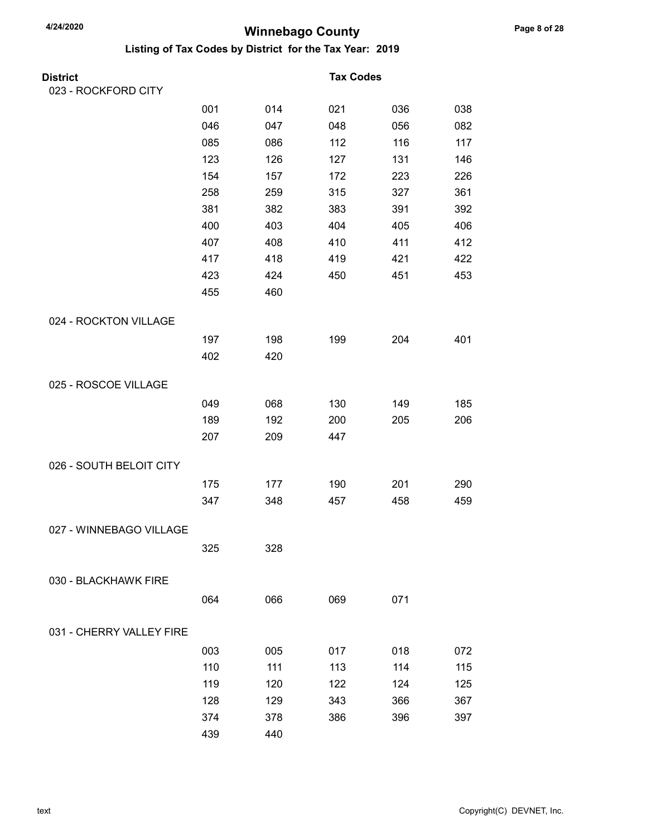| <b>District</b>          |     |     | <b>Tax Codes</b> |     |     |
|--------------------------|-----|-----|------------------|-----|-----|
| 023 - ROCKFORD CITY      |     |     |                  |     |     |
|                          | 001 | 014 | 021              | 036 | 038 |
|                          | 046 | 047 | 048              | 056 | 082 |
|                          | 085 | 086 | 112              | 116 | 117 |
|                          | 123 | 126 | 127              | 131 | 146 |
|                          | 154 | 157 | 172              | 223 | 226 |
|                          | 258 | 259 | 315              | 327 | 361 |
|                          | 381 | 382 | 383              | 391 | 392 |
|                          | 400 | 403 | 404              | 405 | 406 |
|                          | 407 | 408 | 410              | 411 | 412 |
|                          | 417 | 418 | 419              | 421 | 422 |
|                          | 423 | 424 | 450              | 451 | 453 |
|                          | 455 | 460 |                  |     |     |
| 024 - ROCKTON VILLAGE    |     |     |                  |     |     |
|                          | 197 | 198 | 199              | 204 | 401 |
|                          | 402 | 420 |                  |     |     |
| 025 - ROSCOE VILLAGE     |     |     |                  |     |     |
|                          | 049 | 068 | 130              | 149 | 185 |
|                          | 189 | 192 | 200              | 205 | 206 |
|                          | 207 | 209 | 447              |     |     |
| 026 - SOUTH BELOIT CITY  |     |     |                  |     |     |
|                          | 175 | 177 | 190              | 201 | 290 |
|                          | 347 | 348 | 457              | 458 | 459 |
| 027 - WINNEBAGO VILLAGE  |     |     |                  |     |     |
|                          | 325 | 328 |                  |     |     |
| 030 - BLACKHAWK FIRE     |     |     |                  |     |     |
|                          | 064 | 066 | 069              | 071 |     |
|                          |     |     |                  |     |     |
| 031 - CHERRY VALLEY FIRE |     |     |                  |     |     |
|                          | 003 | 005 | 017              | 018 | 072 |
|                          | 110 | 111 | 113              | 114 | 115 |
|                          | 119 | 120 | 122              | 124 | 125 |
|                          | 128 | 129 | 343              | 366 | 367 |
|                          | 374 | 378 | 386              | 396 | 397 |
|                          | 439 | 440 |                  |     |     |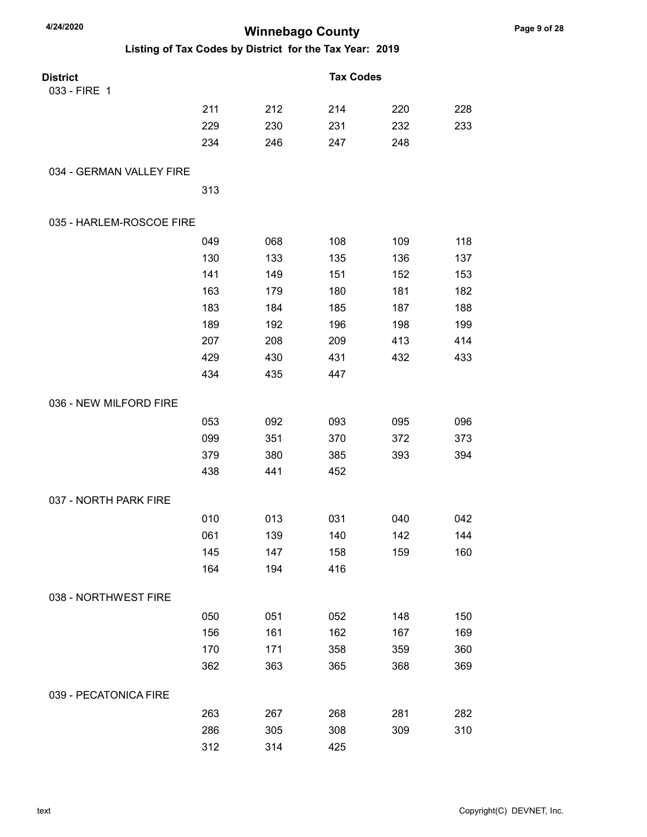| 4/24/2020                | <b>Winnebago County</b> |     |                                                         |     |     |
|--------------------------|-------------------------|-----|---------------------------------------------------------|-----|-----|
|                          |                         |     | Listing of Tax Codes by District for the Tax Year: 2019 |     |     |
| <b>District</b>          |                         |     | <b>Tax Codes</b>                                        |     |     |
| 033 - FIRE 1             |                         |     |                                                         |     |     |
|                          | 211                     | 212 | 214                                                     | 220 | 228 |
|                          | 229                     | 230 | 231                                                     | 232 | 233 |
|                          | 234                     | 246 | 247                                                     | 248 |     |
| 034 - GERMAN VALLEY FIRE |                         |     |                                                         |     |     |
|                          | 313                     |     |                                                         |     |     |
| 035 - HARLEM-ROSCOE FIRE |                         |     |                                                         |     |     |
|                          | 049                     | 068 | 108                                                     | 109 | 118 |
|                          | 130                     | 133 | 135                                                     | 136 | 137 |
|                          | 141                     | 149 | 151                                                     | 152 | 153 |
|                          | 163                     | 179 | 180                                                     | 181 | 182 |
|                          | 183                     | 184 | 185                                                     | 187 | 188 |
|                          | 189                     | 192 | 196                                                     | 198 | 199 |
|                          | 207                     | 208 | 209                                                     | 413 | 414 |
|                          | 429                     | 430 | 431                                                     | 432 | 433 |
|                          | 434                     | 435 | 447                                                     |     |     |
| 036 - NEW MILFORD FIRE   |                         |     |                                                         |     |     |
|                          | 053                     | 092 | 093                                                     | 095 | 096 |
|                          | 099                     | 351 | 370                                                     | 372 | 373 |
|                          | 379                     | 380 | 385                                                     | 393 | 394 |
|                          | 438                     | 441 | 452                                                     |     |     |
| 037 - NORTH PARK FIRE    |                         |     |                                                         |     |     |
|                          | 010                     | 013 | 031                                                     | 040 | 042 |
|                          | 061                     | 139 | 140                                                     | 142 | 144 |
|                          | 145                     | 147 | 158                                                     | 159 | 160 |
|                          | 164                     | 194 | 416                                                     |     |     |
| 038 - NORTHWEST FIRE     |                         |     |                                                         |     |     |
|                          | 050                     | 051 | 052                                                     | 148 | 150 |
|                          | 156                     | 161 | 162                                                     | 167 | 169 |
|                          | 170                     | 171 | 358                                                     | 359 | 360 |
|                          | 362                     | 363 | 365                                                     | 368 | 369 |
| 039 - PECATONICA FIRE    |                         |     |                                                         |     |     |
|                          | 263                     | 267 | 268                                                     | 281 | 282 |
|                          | 286                     | 305 | 308                                                     | 309 | 310 |
|                          | 312                     | 314 | 425                                                     |     |     |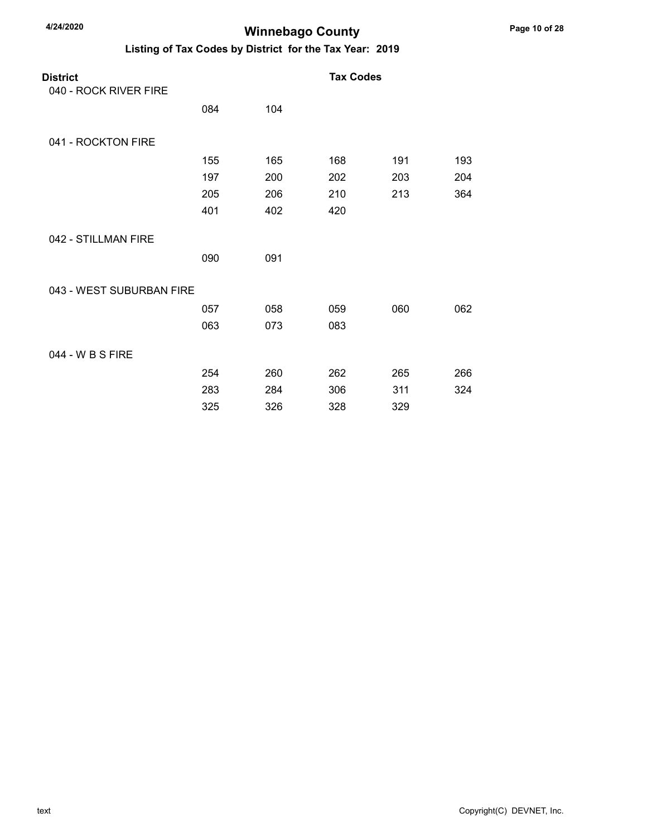| <b>District</b><br>040 - ROCK RIVER FIRE |     |     | <b>Tax Codes</b> |     |     |
|------------------------------------------|-----|-----|------------------|-----|-----|
|                                          | 084 | 104 |                  |     |     |
| 041 - ROCKTON FIRE                       |     |     |                  |     |     |
|                                          | 155 | 165 | 168              | 191 | 193 |
|                                          | 197 | 200 | 202              | 203 | 204 |
|                                          | 205 | 206 | 210              | 213 | 364 |
|                                          | 401 | 402 | 420              |     |     |
| 042 - STILLMAN FIRE                      |     |     |                  |     |     |
|                                          | 090 | 091 |                  |     |     |
| 043 - WEST SUBURBAN FIRE                 |     |     |                  |     |     |
|                                          | 057 | 058 | 059              | 060 | 062 |
|                                          | 063 | 073 | 083              |     |     |
| 044 - W B S FIRE                         |     |     |                  |     |     |
|                                          | 254 | 260 | 262              | 265 | 266 |
|                                          | 283 | 284 | 306              | 311 | 324 |
|                                          | 325 | 326 | 328              | 329 |     |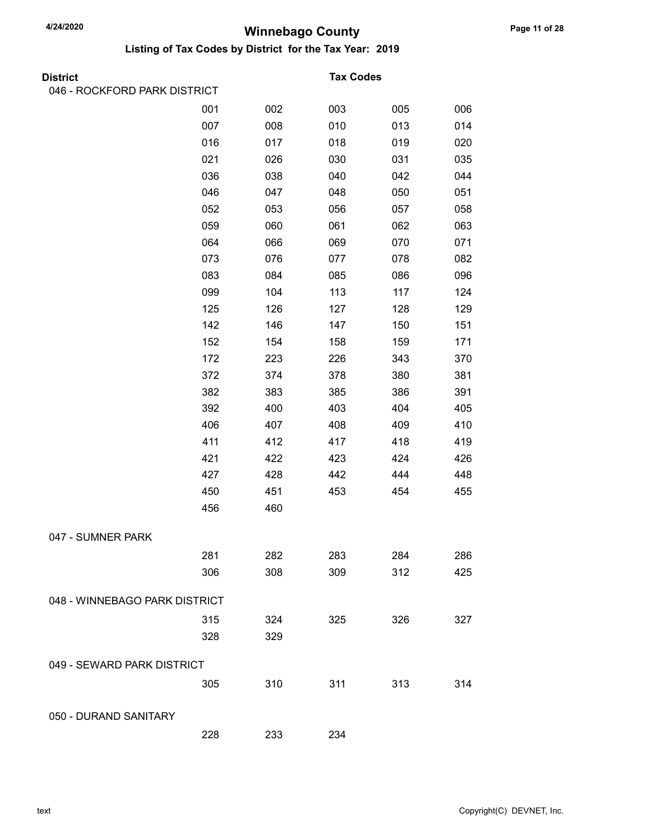| <b>District</b>               |     |     | <b>Tax Codes</b> |     |     |
|-------------------------------|-----|-----|------------------|-----|-----|
| 046 - ROCKFORD PARK DISTRICT  |     |     |                  |     |     |
|                               | 001 | 002 | 003              | 005 | 006 |
|                               | 007 | 008 | 010              | 013 | 014 |
|                               | 016 | 017 | 018              | 019 | 020 |
|                               | 021 | 026 | 030              | 031 | 035 |
|                               | 036 | 038 | 040              | 042 | 044 |
|                               | 046 | 047 | 048              | 050 | 051 |
|                               | 052 | 053 | 056              | 057 | 058 |
|                               | 059 | 060 | 061              | 062 | 063 |
|                               | 064 | 066 | 069              | 070 | 071 |
|                               | 073 | 076 | 077              | 078 | 082 |
|                               | 083 | 084 | 085              | 086 | 096 |
|                               | 099 | 104 | 113              | 117 | 124 |
|                               | 125 | 126 | 127              | 128 | 129 |
|                               | 142 | 146 | 147              | 150 | 151 |
|                               | 152 | 154 | 158              | 159 | 171 |
|                               | 172 | 223 | 226              | 343 | 370 |
|                               | 372 | 374 | 378              | 380 | 381 |
|                               | 382 | 383 | 385              | 386 | 391 |
|                               | 392 | 400 | 403              | 404 | 405 |
|                               | 406 | 407 | 408              | 409 | 410 |
|                               | 411 | 412 | 417              | 418 | 419 |
|                               | 421 | 422 | 423              | 424 | 426 |
|                               | 427 | 428 | 442              | 444 | 448 |
|                               | 450 | 451 | 453              | 454 | 455 |
|                               | 456 | 460 |                  |     |     |
| 047 - SUMNER PARK             |     |     |                  |     |     |
|                               | 281 | 282 | 283              | 284 | 286 |
|                               | 306 | 308 | 309              | 312 | 425 |
| 048 - WINNEBAGO PARK DISTRICT |     |     |                  |     |     |
|                               | 315 | 324 | 325              | 326 | 327 |
|                               | 328 | 329 |                  |     |     |
| 049 - SEWARD PARK DISTRICT    |     |     |                  |     |     |
|                               | 305 | 310 | 311              | 313 | 314 |
| 050 - DURAND SANITARY         |     |     |                  |     |     |
|                               | 228 | 233 | 234              |     |     |
|                               |     |     |                  |     |     |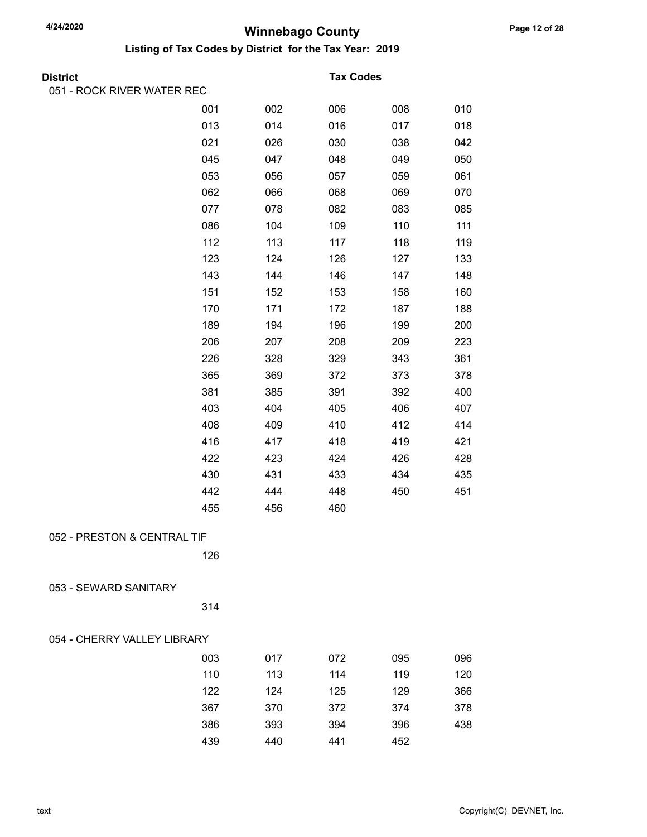| <b>District</b>             |     |     | <b>Tax Codes</b> |     |     |
|-----------------------------|-----|-----|------------------|-----|-----|
| 051 - ROCK RIVER WATER REC  |     |     |                  |     |     |
|                             | 001 | 002 | 006              | 008 | 010 |
|                             | 013 | 014 | 016              | 017 | 018 |
|                             | 021 | 026 | 030              | 038 | 042 |
|                             | 045 | 047 | 048              | 049 | 050 |
|                             | 053 | 056 | 057              | 059 | 061 |
|                             | 062 | 066 | 068              | 069 | 070 |
|                             | 077 | 078 | 082              | 083 | 085 |
|                             | 086 | 104 | 109              | 110 | 111 |
|                             | 112 | 113 | 117              | 118 | 119 |
|                             | 123 | 124 | 126              | 127 | 133 |
|                             | 143 | 144 | 146              | 147 | 148 |
|                             | 151 | 152 | 153              | 158 | 160 |
|                             | 170 | 171 | 172              | 187 | 188 |
|                             | 189 | 194 | 196              | 199 | 200 |
|                             | 206 | 207 | 208              | 209 | 223 |
|                             | 226 | 328 | 329              | 343 | 361 |
|                             | 365 | 369 | 372              | 373 | 378 |
|                             | 381 | 385 | 391              | 392 | 400 |
|                             | 403 | 404 | 405              | 406 | 407 |
|                             | 408 | 409 | 410              | 412 | 414 |
|                             | 416 | 417 | 418              | 419 | 421 |
|                             | 422 | 423 | 424              | 426 | 428 |
|                             | 430 | 431 | 433              | 434 | 435 |
|                             | 442 | 444 | 448              | 450 | 451 |
|                             | 455 | 456 | 460              |     |     |
| 052 - PRESTON & CENTRAL TIF |     |     |                  |     |     |
|                             | 126 |     |                  |     |     |
|                             |     |     |                  |     |     |
| 053 - SEWARD SANITARY       |     |     |                  |     |     |
|                             | 314 |     |                  |     |     |
| 054 - CHERRY VALLEY LIBRARY |     |     |                  |     |     |
|                             | 003 | 017 | 072              | 095 | 096 |
|                             | 110 | 113 | 114              | 119 | 120 |
|                             | 122 | 124 | 125              | 129 | 366 |
|                             | 367 | 370 | 372              | 374 | 378 |
|                             | 386 | 393 | 394              | 396 | 438 |
|                             | 439 | 440 | 441              | 452 |     |
|                             |     |     |                  |     |     |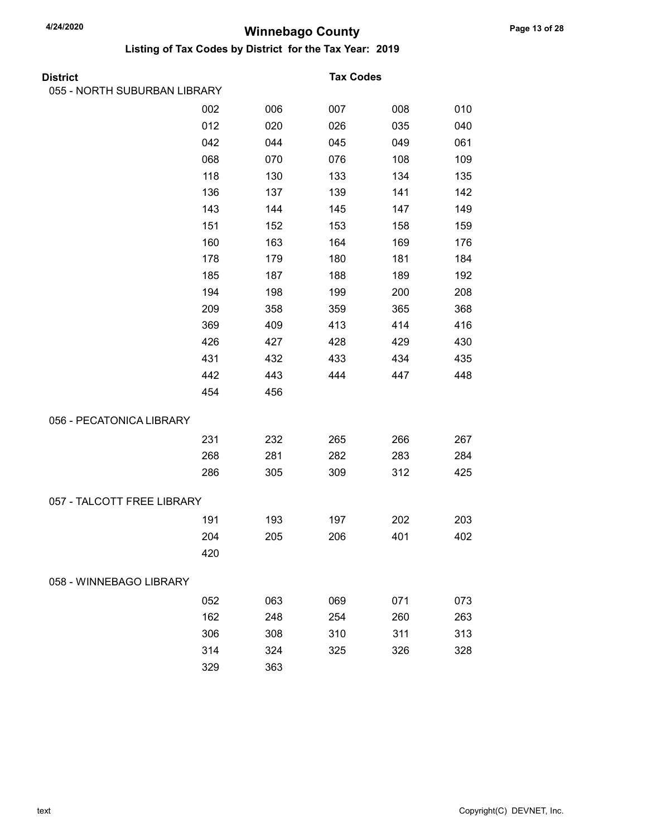| <b>District</b>              |     |     | <b>Tax Codes</b> |     |     |
|------------------------------|-----|-----|------------------|-----|-----|
| 055 - NORTH SUBURBAN LIBRARY |     |     |                  |     |     |
|                              | 002 | 006 | 007              | 008 | 010 |
|                              | 012 | 020 | 026              | 035 | 040 |
|                              | 042 | 044 | 045              | 049 | 061 |
|                              | 068 | 070 | 076              | 108 | 109 |
|                              | 118 | 130 | 133              | 134 | 135 |
|                              | 136 | 137 | 139              | 141 | 142 |
|                              | 143 | 144 | 145              | 147 | 149 |
|                              | 151 | 152 | 153              | 158 | 159 |
|                              | 160 | 163 | 164              | 169 | 176 |
|                              | 178 | 179 | 180              | 181 | 184 |
|                              | 185 | 187 | 188              | 189 | 192 |
|                              | 194 | 198 | 199              | 200 | 208 |
|                              | 209 | 358 | 359              | 365 | 368 |
|                              | 369 | 409 | 413              | 414 | 416 |
|                              | 426 | 427 | 428              | 429 | 430 |
|                              | 431 | 432 | 433              | 434 | 435 |
|                              | 442 | 443 | 444              | 447 | 448 |
|                              | 454 | 456 |                  |     |     |
| 056 - PECATONICA LIBRARY     |     |     |                  |     |     |
|                              | 231 | 232 | 265              | 266 | 267 |
|                              | 268 | 281 | 282              | 283 | 284 |
|                              | 286 | 305 | 309              | 312 | 425 |
| 057 - TALCOTT FREE LIBRARY   |     |     |                  |     |     |
|                              | 191 | 193 | 197              | 202 | 203 |
|                              | 204 | 205 | 206              | 401 | 402 |
|                              | 420 |     |                  |     |     |
| 058 - WINNEBAGO LIBRARY      |     |     |                  |     |     |
|                              | 052 | 063 | 069              | 071 | 073 |
|                              | 162 | 248 | 254              | 260 | 263 |
|                              | 306 | 308 | 310              | 311 | 313 |
|                              | 314 | 324 | 325              | 326 | 328 |
|                              | 329 | 363 |                  |     |     |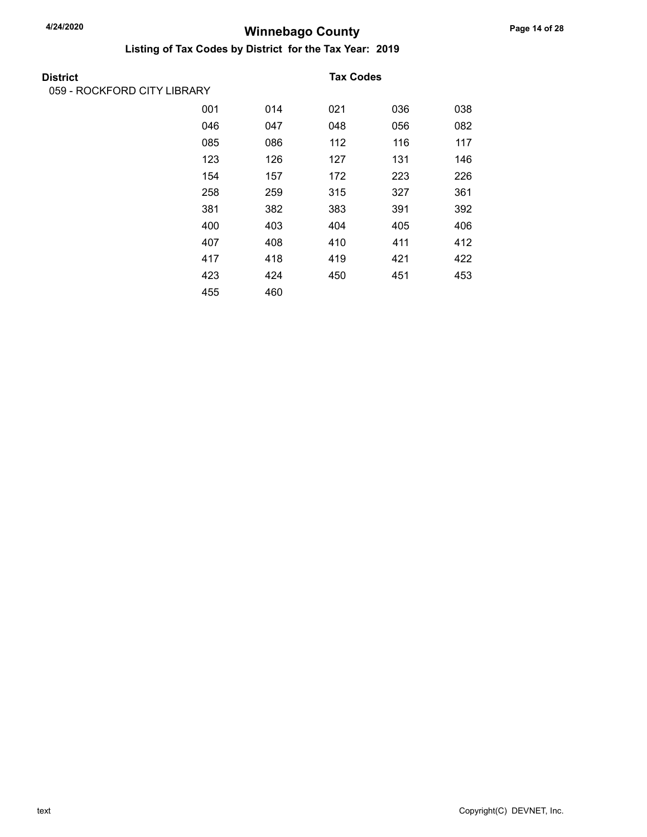| District                    |     |     | <b>Tax Codes</b> |     |     |
|-----------------------------|-----|-----|------------------|-----|-----|
| 059 - ROCKFORD CITY LIBRARY |     |     |                  |     |     |
|                             | 001 | 014 | 021              | 036 | 038 |
|                             | 046 | 047 | 048              | 056 | 082 |
|                             | 085 | 086 | 112              | 116 | 117 |
|                             | 123 | 126 | 127              | 131 | 146 |
|                             | 154 | 157 | 172              | 223 | 226 |
|                             | 258 | 259 | 315              | 327 | 361 |
|                             | 381 | 382 | 383              | 391 | 392 |
|                             | 400 | 403 | 404              | 405 | 406 |
|                             | 407 | 408 | 410              | 411 | 412 |
|                             | 417 | 418 | 419              | 421 | 422 |
|                             | 423 | 424 | 450              | 451 | 453 |
|                             | 455 | 460 |                  |     |     |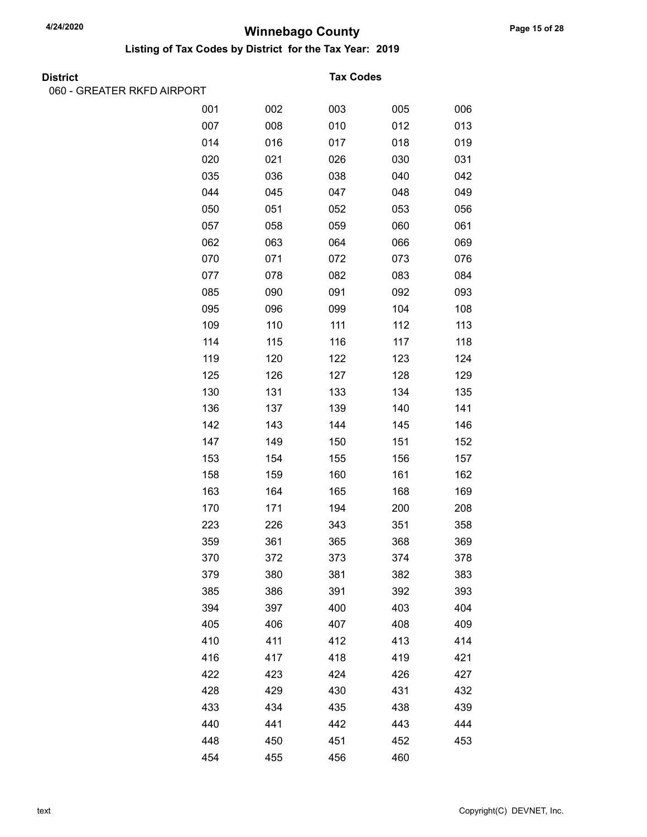Listing of Tax Codes by District for the Tax Year: 2019

|  | <b>District</b> |
|--|-----------------|

060 - GREATER RKFD AIRPORT

### **Tax Codes**

| .   |     |     |     |     |
|-----|-----|-----|-----|-----|
| 001 | 002 | 003 | 005 | 006 |
| 007 | 008 | 010 | 012 | 013 |
| 014 | 016 | 017 | 018 | 019 |
| 020 | 021 | 026 | 030 | 031 |
| 035 | 036 | 038 | 040 | 042 |
| 044 | 045 | 047 | 048 | 049 |
| 050 | 051 | 052 | 053 | 056 |
| 057 | 058 | 059 | 060 | 061 |
| 062 | 063 | 064 | 066 | 069 |
| 070 | 071 | 072 | 073 | 076 |
| 077 | 078 | 082 | 083 | 084 |
| 085 | 090 | 091 | 092 | 093 |
| 095 | 096 | 099 | 104 | 108 |
| 109 | 110 | 111 | 112 | 113 |
| 114 | 115 | 116 | 117 | 118 |
| 119 | 120 | 122 | 123 | 124 |
| 125 | 126 | 127 | 128 | 129 |
| 130 | 131 | 133 | 134 | 135 |
| 136 | 137 | 139 | 140 | 141 |
| 142 | 143 | 144 | 145 | 146 |
| 147 | 149 | 150 | 151 | 152 |
| 153 | 154 | 155 | 156 | 157 |
| 158 | 159 | 160 | 161 | 162 |
| 163 | 164 | 165 | 168 | 169 |
| 170 | 171 | 194 | 200 | 208 |
| 223 | 226 | 343 | 351 | 358 |
| 359 | 361 | 365 | 368 | 369 |
| 370 | 372 | 373 | 374 | 378 |
| 379 | 380 | 381 | 382 | 383 |
| 385 | 386 | 391 | 392 | 393 |
| 394 | 397 | 400 | 403 | 404 |
| 405 | 406 | 407 | 408 | 409 |
| 410 | 411 | 412 | 413 | 414 |
| 416 | 417 | 418 | 419 | 421 |
| 422 | 423 | 424 | 426 | 427 |
| 428 | 429 | 430 | 431 | 432 |
| 433 | 434 | 435 | 438 | 439 |
| 440 | 441 | 442 | 443 | 444 |
| 448 | 450 | 451 | 452 | 453 |
| 454 | 455 | 456 | 460 |     |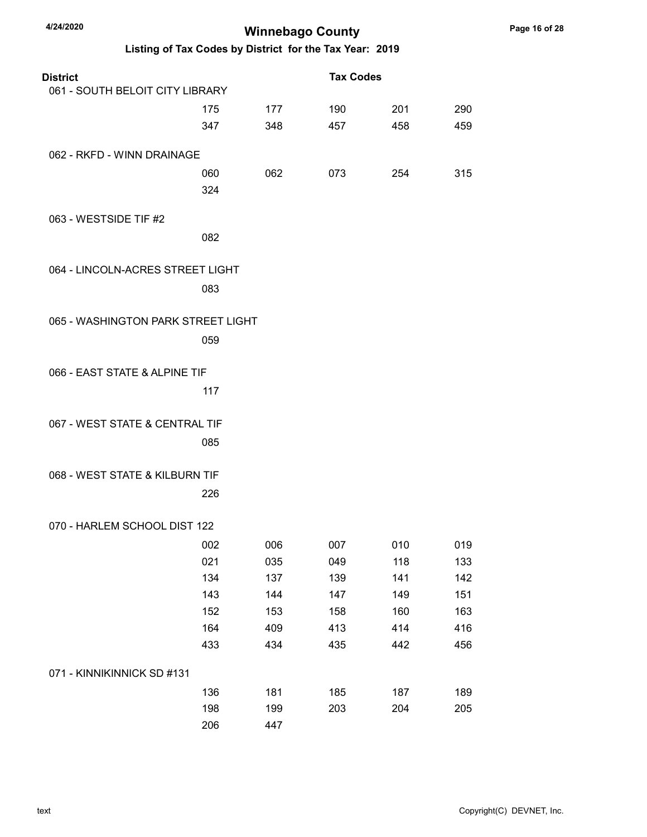| 4/24/2020                          |     | <b>Winnebago County</b> |                                                         |     |     |
|------------------------------------|-----|-------------------------|---------------------------------------------------------|-----|-----|
|                                    |     |                         | Listing of Tax Codes by District for the Tax Year: 2019 |     |     |
| <b>District</b>                    |     |                         | <b>Tax Codes</b>                                        |     |     |
| 061 - SOUTH BELOIT CITY LIBRARY    |     |                         |                                                         |     |     |
|                                    | 175 | 177                     | 190                                                     | 201 | 290 |
|                                    | 347 | 348                     | 457                                                     | 458 | 459 |
| 062 - RKFD - WINN DRAINAGE         |     |                         |                                                         |     |     |
|                                    | 060 | 062                     | 073                                                     | 254 | 315 |
|                                    | 324 |                         |                                                         |     |     |
| 063 - WESTSIDE TIF #2              |     |                         |                                                         |     |     |
|                                    | 082 |                         |                                                         |     |     |
| 064 - LINCOLN-ACRES STREET LIGHT   |     |                         |                                                         |     |     |
|                                    | 083 |                         |                                                         |     |     |
|                                    |     |                         |                                                         |     |     |
| 065 - WASHINGTON PARK STREET LIGHT |     |                         |                                                         |     |     |
|                                    | 059 |                         |                                                         |     |     |
| 066 - EAST STATE & ALPINE TIF      |     |                         |                                                         |     |     |
|                                    | 117 |                         |                                                         |     |     |
|                                    |     |                         |                                                         |     |     |
| 067 - WEST STATE & CENTRAL TIF     |     |                         |                                                         |     |     |
|                                    | 085 |                         |                                                         |     |     |
| 068 - WEST STATE & KILBURN TIF     |     |                         |                                                         |     |     |
|                                    | 226 |                         |                                                         |     |     |
|                                    |     |                         |                                                         |     |     |
| 070 - HARLEM SCHOOL DIST 122       |     |                         |                                                         |     |     |
|                                    | 002 | 006                     | 007                                                     | 010 | 019 |
|                                    | 021 | 035                     | 049                                                     | 118 | 133 |
|                                    | 134 | 137                     | 139                                                     | 141 | 142 |
|                                    | 143 | 144                     | 147                                                     | 149 | 151 |
|                                    | 152 | 153                     | 158                                                     | 160 | 163 |
|                                    | 164 | 409                     | 413                                                     | 414 | 416 |
|                                    | 433 | 434                     | 435                                                     | 442 | 456 |
| 071 - KINNIKINNICK SD #131         |     |                         |                                                         |     |     |
|                                    | 136 | 181                     | 185                                                     | 187 | 189 |
|                                    | 198 | 199                     | 203                                                     | 204 | 205 |
|                                    | 206 | 447                     |                                                         |     |     |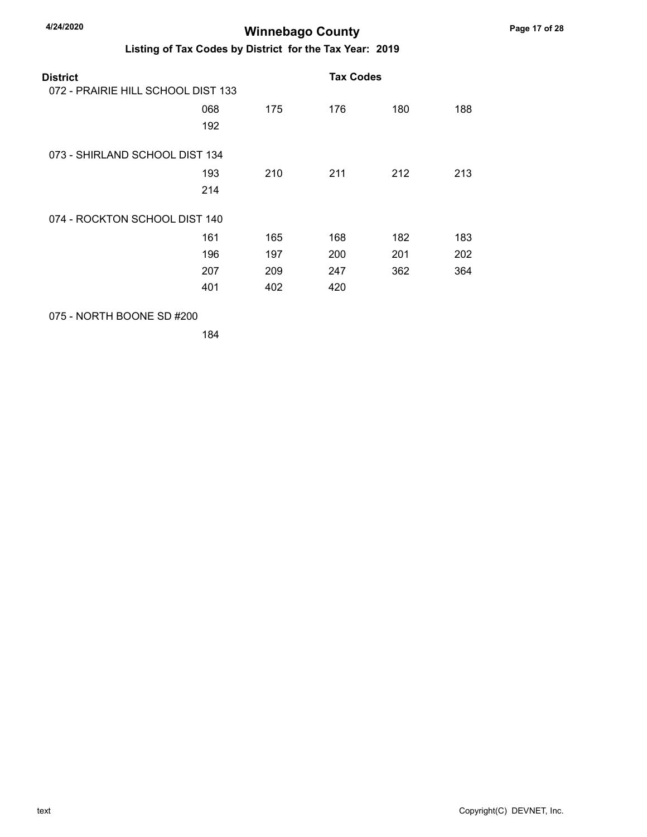### Listing of Tax Codes by District for the Tax Year: 2019

| District<br>072 - PRAIRIE HILL SCHOOL DIST 133 |            |     | <b>Tax Codes</b> |     |     |
|------------------------------------------------|------------|-----|------------------|-----|-----|
|                                                | 068<br>192 | 175 | 176              | 180 | 188 |
| 073 - SHIRLAND SCHOOL DIST 134                 |            |     |                  |     |     |
|                                                | 193        | 210 | 211              | 212 | 213 |
|                                                | 214        |     |                  |     |     |
| 074 - ROCKTON SCHOOL DIST 140                  |            |     |                  |     |     |
|                                                | 161        | 165 | 168              | 182 | 183 |
|                                                | 196        | 197 | 200              | 201 | 202 |
|                                                | 207        | 209 | 247              | 362 | 364 |
|                                                | 401        | 402 | 420              |     |     |
|                                                |            |     |                  |     |     |

075 - NORTH BOONE SD #200

184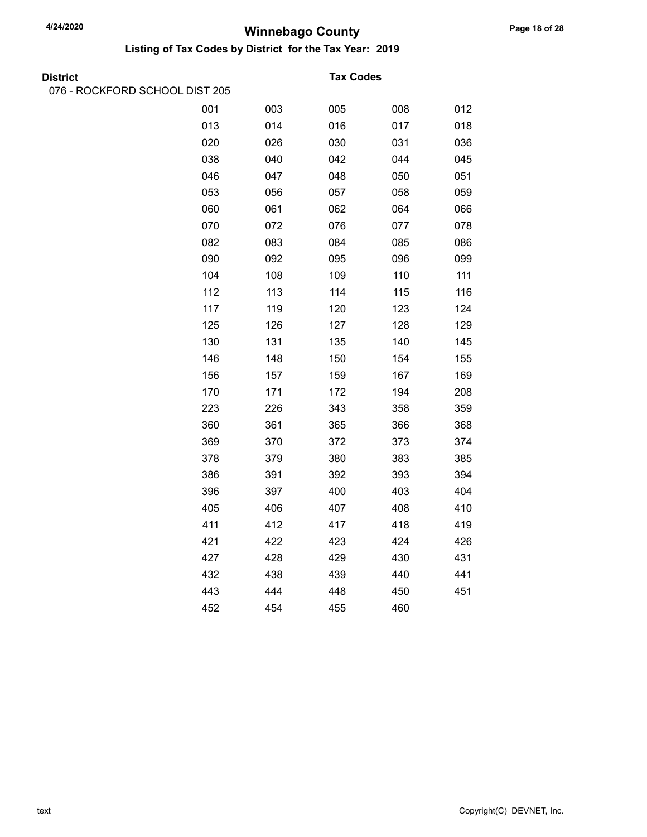Listing of Tax Codes by District for the Tax Year: 2019

076 - ROCKFORD SCHOOL DIST 205

#### District Tax Codes

| 001 | 003 | 005 | 008 | 012 |
|-----|-----|-----|-----|-----|
| 013 | 014 | 016 | 017 | 018 |
| 020 | 026 | 030 | 031 | 036 |
| 038 | 040 | 042 | 044 | 045 |
| 046 | 047 | 048 | 050 | 051 |
| 053 | 056 | 057 | 058 | 059 |
| 060 | 061 | 062 | 064 | 066 |
| 070 | 072 | 076 | 077 | 078 |
| 082 | 083 | 084 | 085 | 086 |
| 090 | 092 | 095 | 096 | 099 |
| 104 | 108 | 109 | 110 | 111 |
| 112 | 113 | 114 | 115 | 116 |
| 117 | 119 | 120 | 123 | 124 |
| 125 | 126 | 127 | 128 | 129 |
| 130 | 131 | 135 | 140 | 145 |
| 146 | 148 | 150 | 154 | 155 |
| 156 | 157 | 159 | 167 | 169 |
| 170 | 171 | 172 | 194 | 208 |
| 223 | 226 | 343 | 358 | 359 |
| 360 | 361 | 365 | 366 | 368 |
| 369 | 370 | 372 | 373 | 374 |
| 378 | 379 | 380 | 383 | 385 |
| 386 | 391 | 392 | 393 | 394 |
| 396 | 397 | 400 | 403 | 404 |
| 405 | 406 | 407 | 408 | 410 |
| 411 | 412 | 417 | 418 | 419 |
| 421 | 422 | 423 | 424 | 426 |
| 427 | 428 | 429 | 430 | 431 |
| 432 | 438 | 439 | 440 | 441 |
| 443 | 444 | 448 | 450 | 451 |
| 452 | 454 | 455 | 460 |     |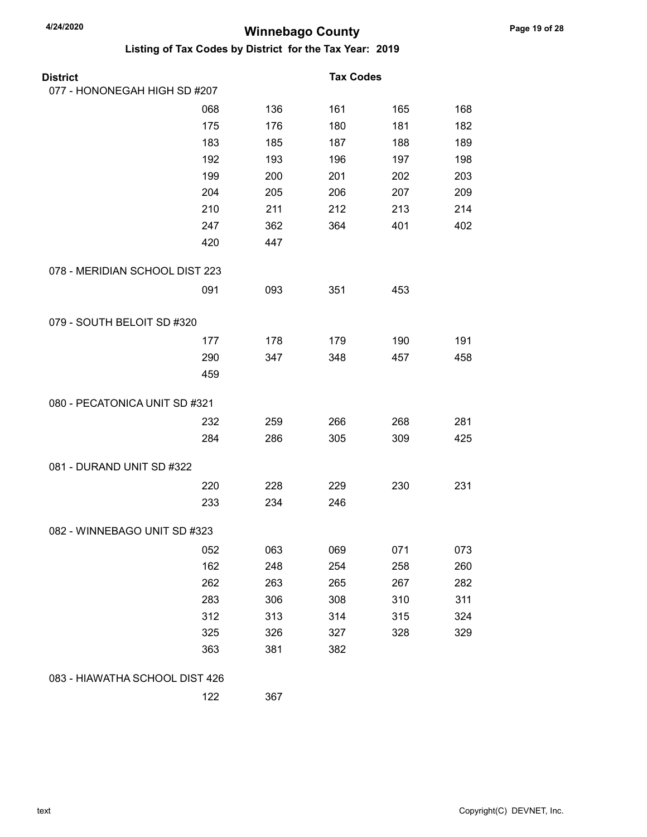| <b>District</b>                |     |     | <b>Tax Codes</b> |     |     |
|--------------------------------|-----|-----|------------------|-----|-----|
| 077 - HONONEGAH HIGH SD #207   |     |     |                  |     |     |
|                                | 068 | 136 | 161              | 165 | 168 |
|                                | 175 | 176 | 180              | 181 | 182 |
|                                | 183 | 185 | 187              | 188 | 189 |
|                                | 192 | 193 | 196              | 197 | 198 |
|                                | 199 | 200 | 201              | 202 | 203 |
|                                | 204 | 205 | 206              | 207 | 209 |
|                                | 210 | 211 | 212              | 213 | 214 |
|                                | 247 | 362 | 364              | 401 | 402 |
|                                | 420 | 447 |                  |     |     |
| 078 - MERIDIAN SCHOOL DIST 223 |     |     |                  |     |     |
|                                | 091 | 093 | 351              | 453 |     |
| 079 - SOUTH BELOIT SD #320     |     |     |                  |     |     |
|                                | 177 | 178 | 179              | 190 | 191 |
|                                | 290 | 347 | 348              | 457 | 458 |
|                                | 459 |     |                  |     |     |
| 080 - PECATONICA UNIT SD #321  |     |     |                  |     |     |
|                                | 232 | 259 | 266              | 268 | 281 |
|                                | 284 | 286 | 305              | 309 | 425 |
| 081 - DURAND UNIT SD #322      |     |     |                  |     |     |
|                                | 220 | 228 | 229              | 230 | 231 |
|                                | 233 | 234 | 246              |     |     |
| 082 - WINNEBAGO UNIT SD #323   |     |     |                  |     |     |
|                                | 052 | 063 | 069              | 071 | 073 |
|                                | 162 | 248 | 254              | 258 | 260 |
|                                | 262 | 263 | 265              | 267 | 282 |
|                                | 283 | 306 | 308              | 310 | 311 |
|                                | 312 | 313 | 314              | 315 | 324 |
|                                | 325 | 326 | 327              | 328 | 329 |
|                                | 363 | 381 | 382              |     |     |
| 083 - HIAWATHA SCHOOL DIST 426 |     |     |                  |     |     |
|                                | 122 | 367 |                  |     |     |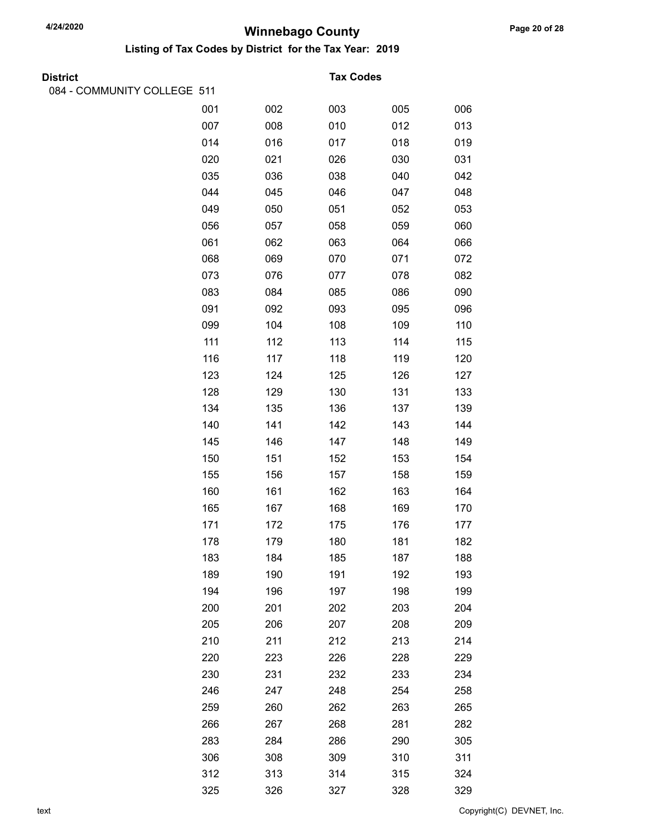| <b>District</b>             |     |     | <b>Tax Codes</b> |     |     |
|-----------------------------|-----|-----|------------------|-----|-----|
| 084 - COMMUNITY COLLEGE 511 |     |     |                  |     |     |
|                             | 001 | 002 | 003              | 005 | 006 |
|                             | 007 | 008 | 010              | 012 | 013 |
|                             | 014 | 016 | 017              | 018 | 019 |
|                             | 020 | 021 | 026              | 030 | 031 |
|                             | 035 | 036 | 038              | 040 | 042 |
|                             | 044 | 045 | 046              | 047 | 048 |
|                             | 049 | 050 | 051              | 052 | 053 |
|                             | 056 | 057 | 058              | 059 | 060 |
|                             | 061 | 062 | 063              | 064 | 066 |
|                             | 068 | 069 | 070              | 071 | 072 |
|                             | 073 | 076 | 077              | 078 | 082 |
|                             | 083 | 084 | 085              | 086 | 090 |
|                             | 091 | 092 | 093              | 095 | 096 |
|                             | 099 | 104 | 108              | 109 | 110 |
|                             | 111 | 112 | 113              | 114 | 115 |
|                             | 116 | 117 | 118              | 119 | 120 |
|                             | 123 | 124 | 125              | 126 | 127 |
|                             | 128 | 129 | 130              | 131 | 133 |
|                             | 134 | 135 | 136              | 137 | 139 |
|                             | 140 | 141 | 142              | 143 | 144 |
|                             | 145 | 146 | 147              | 148 | 149 |
|                             | 150 | 151 | 152              | 153 | 154 |
|                             | 155 | 156 | 157              | 158 | 159 |
|                             | 160 | 161 | 162              | 163 | 164 |
|                             | 165 | 167 | 168              | 169 | 170 |
|                             | 171 | 172 | 175              | 176 | 177 |
|                             | 178 | 179 | 180              | 181 | 182 |
|                             | 183 | 184 | 185              | 187 | 188 |
|                             | 189 | 190 | 191              | 192 | 193 |
|                             | 194 | 196 | 197              | 198 | 199 |
|                             | 200 | 201 | 202              | 203 | 204 |
|                             | 205 | 206 | 207              | 208 | 209 |
|                             | 210 | 211 | 212              | 213 | 214 |
|                             | 220 | 223 | 226              | 228 | 229 |
|                             | 230 | 231 | 232              | 233 | 234 |
|                             | 246 | 247 | 248              | 254 | 258 |
|                             | 259 | 260 | 262              | 263 | 265 |
|                             | 266 | 267 | 268              | 281 | 282 |
|                             | 283 | 284 | 286              | 290 | 305 |
|                             | 306 | 308 | 309              | 310 | 311 |
|                             | 312 | 313 | 314              | 315 | 324 |
|                             | 325 | 326 | 327              | 328 | 329 |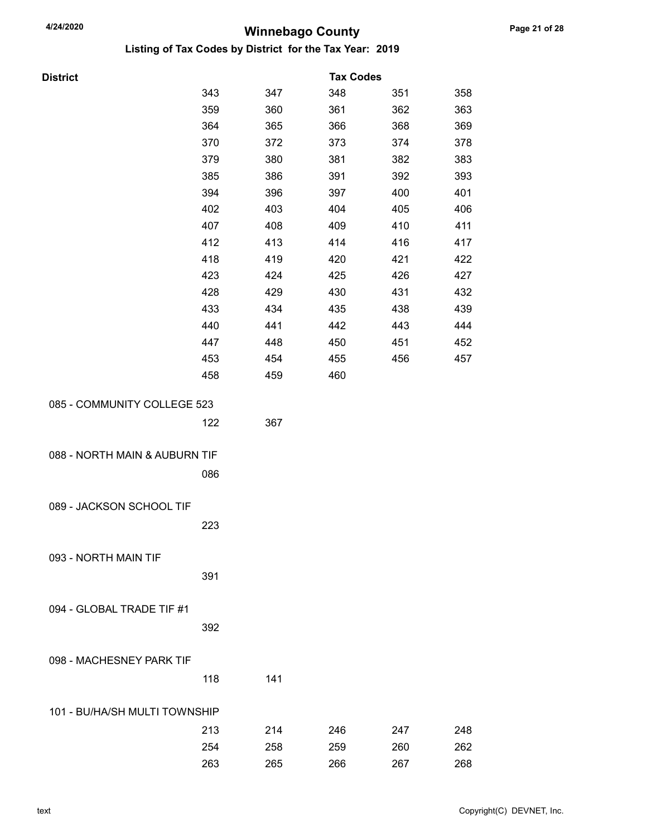Listing of Tax Codes by District for the Tax Year: 2019

| <b>District</b>               |     |     | <b>Tax Codes</b> |     |     |
|-------------------------------|-----|-----|------------------|-----|-----|
|                               | 343 | 347 | 348              | 351 | 358 |
|                               | 359 | 360 | 361              | 362 | 363 |
|                               | 364 | 365 | 366              | 368 | 369 |
|                               | 370 | 372 | 373              | 374 | 378 |
|                               | 379 | 380 | 381              | 382 | 383 |
|                               | 385 | 386 | 391              | 392 | 393 |
|                               | 394 | 396 | 397              | 400 | 401 |
|                               | 402 | 403 | 404              | 405 | 406 |
|                               | 407 | 408 | 409              | 410 | 411 |
|                               | 412 | 413 | 414              | 416 | 417 |
|                               | 418 | 419 | 420              | 421 | 422 |
|                               | 423 | 424 | 425              | 426 | 427 |
|                               | 428 | 429 | 430              | 431 | 432 |
|                               | 433 | 434 | 435              | 438 | 439 |
|                               | 440 | 441 | 442              | 443 | 444 |
|                               | 447 | 448 | 450              | 451 | 452 |
|                               | 453 | 454 | 455              | 456 | 457 |
|                               | 458 | 459 | 460              |     |     |
|                               |     |     |                  |     |     |
| 085 - COMMUNITY COLLEGE 523   |     |     |                  |     |     |
|                               | 122 | 367 |                  |     |     |
|                               |     |     |                  |     |     |
| 088 - NORTH MAIN & AUBURN TIF |     |     |                  |     |     |
|                               | 086 |     |                  |     |     |
|                               |     |     |                  |     |     |
| 089 - JACKSON SCHOOL TIF      |     |     |                  |     |     |
|                               | 223 |     |                  |     |     |
|                               |     |     |                  |     |     |
| 093 - NORTH MAIN TIF          |     |     |                  |     |     |
|                               | 391 |     |                  |     |     |
|                               |     |     |                  |     |     |
| 094 - GLOBAL TRADE TIF #1     |     |     |                  |     |     |
|                               | 392 |     |                  |     |     |
|                               |     |     |                  |     |     |
| 098 - MACHESNEY PARK TIF      |     |     |                  |     |     |
|                               | 118 | 141 |                  |     |     |
|                               |     |     |                  |     |     |
| 101 - BU/HA/SH MULTI TOWNSHIP |     |     |                  |     |     |

213 214 246 247 248 254 258 259 260 262 263 265 266 267 268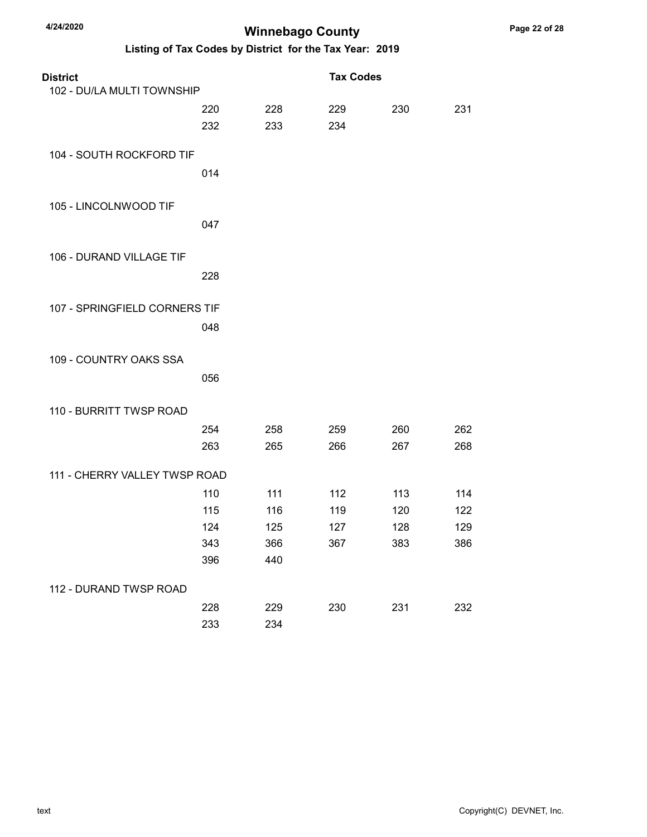| <b>District</b>               |     |     | <b>Tax Codes</b> |     |     |
|-------------------------------|-----|-----|------------------|-----|-----|
| 102 - DU/LA MULTI TOWNSHIP    |     |     |                  |     |     |
|                               | 220 | 228 | 229              | 230 | 231 |
|                               | 232 | 233 | 234              |     |     |
| 104 - SOUTH ROCKFORD TIF      |     |     |                  |     |     |
|                               | 014 |     |                  |     |     |
| 105 - LINCOLNWOOD TIF         |     |     |                  |     |     |
|                               | 047 |     |                  |     |     |
| 106 - DURAND VILLAGE TIF      |     |     |                  |     |     |
|                               | 228 |     |                  |     |     |
| 107 - SPRINGFIELD CORNERS TIF |     |     |                  |     |     |
|                               | 048 |     |                  |     |     |
| 109 - COUNTRY OAKS SSA        |     |     |                  |     |     |
|                               | 056 |     |                  |     |     |
| 110 - BURRITT TWSP ROAD       |     |     |                  |     |     |
|                               | 254 | 258 | 259              | 260 | 262 |
|                               | 263 | 265 | 266              | 267 | 268 |
| 111 - CHERRY VALLEY TWSP ROAD |     |     |                  |     |     |
|                               | 110 | 111 | 112              | 113 | 114 |
|                               | 115 | 116 | 119              | 120 | 122 |
|                               | 124 | 125 | 127              | 128 | 129 |
|                               | 343 | 366 | 367              | 383 | 386 |
|                               | 396 | 440 |                  |     |     |
| 112 - DURAND TWSP ROAD        |     |     |                  |     |     |
|                               | 228 | 229 | 230              | 231 | 232 |
|                               | 233 | 234 |                  |     |     |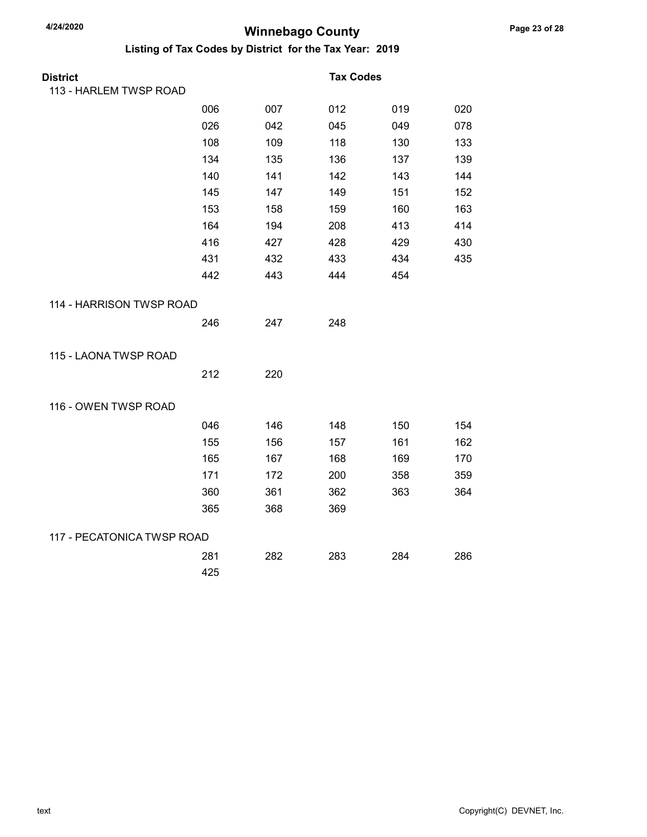| <b>District</b>            |     |     | <b>Tax Codes</b> |     |     |
|----------------------------|-----|-----|------------------|-----|-----|
| 113 - HARLEM TWSP ROAD     |     |     |                  |     |     |
|                            | 006 | 007 | 012              | 019 | 020 |
|                            | 026 | 042 | 045              | 049 | 078 |
|                            | 108 | 109 | 118              | 130 | 133 |
|                            | 134 | 135 | 136              | 137 | 139 |
|                            | 140 | 141 | 142              | 143 | 144 |
|                            | 145 | 147 | 149              | 151 | 152 |
|                            | 153 | 158 | 159              | 160 | 163 |
|                            | 164 | 194 | 208              | 413 | 414 |
|                            | 416 | 427 | 428              | 429 | 430 |
|                            | 431 | 432 | 433              | 434 | 435 |
|                            | 442 | 443 | 444              | 454 |     |
| 114 - HARRISON TWSP ROAD   |     |     |                  |     |     |
|                            | 246 | 247 | 248              |     |     |
| 115 - LAONA TWSP ROAD      |     |     |                  |     |     |
|                            | 212 | 220 |                  |     |     |
| 116 - OWEN TWSP ROAD       |     |     |                  |     |     |
|                            | 046 | 146 | 148              | 150 | 154 |
|                            | 155 | 156 | 157              | 161 | 162 |
|                            | 165 | 167 | 168              | 169 | 170 |
|                            | 171 | 172 | 200              | 358 | 359 |
|                            | 360 | 361 | 362              | 363 | 364 |
|                            | 365 | 368 | 369              |     |     |
| 117 - PECATONICA TWSP ROAD |     |     |                  |     |     |
|                            | 281 | 282 | 283              | 284 | 286 |
|                            | 425 |     |                  |     |     |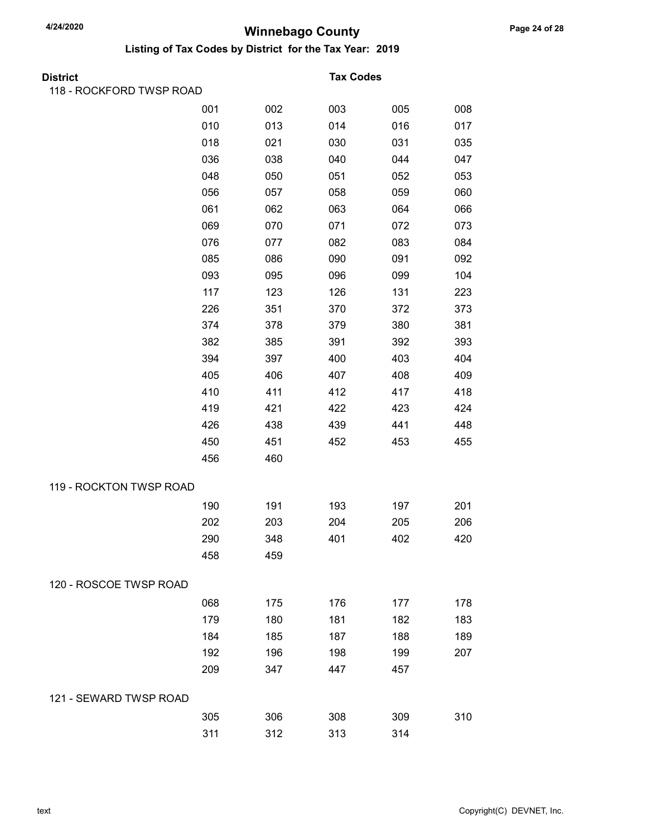| District                 |     |     | <b>Tax Codes</b> |     |     |
|--------------------------|-----|-----|------------------|-----|-----|
| 118 - ROCKFORD TWSP ROAD |     |     |                  |     |     |
|                          | 001 | 002 | 003              | 005 | 008 |
|                          | 010 | 013 | 014              | 016 | 017 |
|                          | 018 | 021 | 030              | 031 | 035 |
|                          | 036 | 038 | 040              | 044 | 047 |
|                          | 048 | 050 | 051              | 052 | 053 |
|                          | 056 | 057 | 058              | 059 | 060 |
|                          | 061 | 062 | 063              | 064 | 066 |
|                          | 069 | 070 | 071              | 072 | 073 |
|                          | 076 | 077 | 082              | 083 | 084 |
|                          | 085 | 086 | 090              | 091 | 092 |
|                          | 093 | 095 | 096              | 099 | 104 |
|                          | 117 | 123 | 126              | 131 | 223 |
|                          | 226 | 351 | 370              | 372 | 373 |
|                          | 374 | 378 | 379              | 380 | 381 |
|                          | 382 | 385 | 391              | 392 | 393 |
|                          | 394 | 397 | 400              | 403 | 404 |
|                          | 405 | 406 | 407              | 408 | 409 |
|                          | 410 | 411 | 412              | 417 | 418 |
|                          | 419 | 421 | 422              | 423 | 424 |
|                          | 426 | 438 | 439              | 441 | 448 |
|                          | 450 | 451 | 452              | 453 | 455 |
|                          | 456 | 460 |                  |     |     |
| 119 - ROCKTON TWSP ROAD  |     |     |                  |     |     |
|                          | 190 | 191 | 193              | 197 | 201 |
|                          | 202 | 203 | 204              | 205 | 206 |
|                          | 290 | 348 | 401              | 402 | 420 |
|                          | 458 | 459 |                  |     |     |
| 120 - ROSCOE TWSP ROAD   |     |     |                  |     |     |
|                          | 068 | 175 | 176              | 177 | 178 |
|                          | 179 | 180 | 181              | 182 | 183 |
|                          | 184 | 185 | 187              | 188 | 189 |
|                          | 192 | 196 | 198              | 199 | 207 |
|                          | 209 | 347 | 447              | 457 |     |
| 121 - SEWARD TWSP ROAD   |     |     |                  |     |     |
|                          | 305 | 306 | 308              | 309 | 310 |
|                          | 311 | 312 | 313              | 314 |     |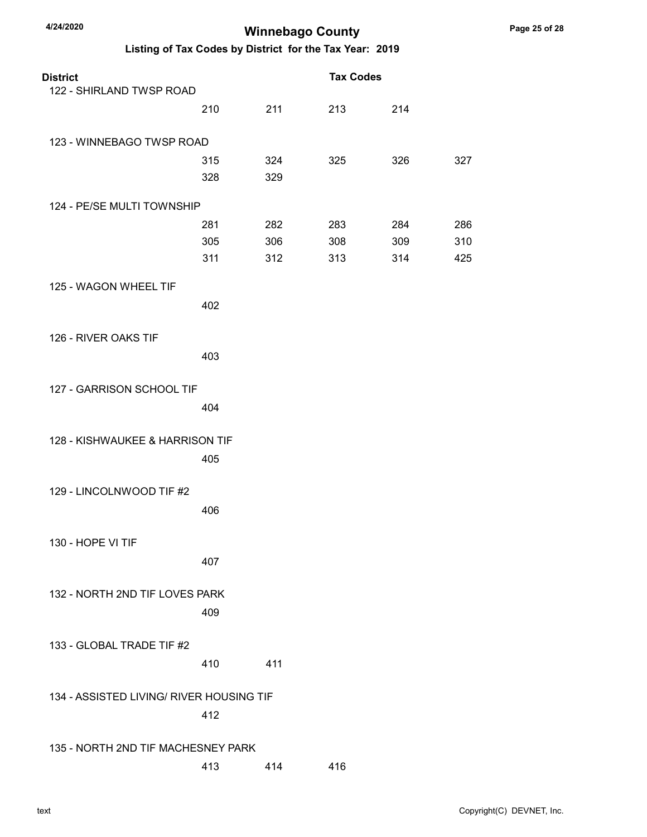| <b>District</b><br>122 - SHIRLAND TWSP ROAD |                   |                   | <b>Tax Codes</b>  |                   |                   |
|---------------------------------------------|-------------------|-------------------|-------------------|-------------------|-------------------|
|                                             | 210               | 211               | 213               | 214               |                   |
| 123 - WINNEBAGO TWSP ROAD                   |                   |                   |                   |                   |                   |
|                                             | 315<br>328        | 324<br>329        | 325               | 326               | 327               |
| 124 - PE/SE MULTI TOWNSHIP                  |                   |                   |                   |                   |                   |
|                                             | 281<br>305<br>311 | 282<br>306<br>312 | 283<br>308<br>313 | 284<br>309<br>314 | 286<br>310<br>425 |
| 125 - WAGON WHEEL TIF                       | 402               |                   |                   |                   |                   |
| 126 - RIVER OAKS TIF                        | 403               |                   |                   |                   |                   |
| 127 - GARRISON SCHOOL TIF                   |                   |                   |                   |                   |                   |
|                                             | 404               |                   |                   |                   |                   |
| 128 - KISHWAUKEE & HARRISON TIF             | 405               |                   |                   |                   |                   |
| 129 - LINCOLNWOOD TIF #2                    | 406               |                   |                   |                   |                   |
| 130 - HOPE VI TIF                           | 407               |                   |                   |                   |                   |
| 132 - NORTH 2ND TIF LOVES PARK              | 409               |                   |                   |                   |                   |
| 133 - GLOBAL TRADE TIF #2                   | 410               | 411               |                   |                   |                   |
| 134 - ASSISTED LIVING/ RIVER HOUSING TIF    | 412               |                   |                   |                   |                   |
| 135 - NORTH 2ND TIF MACHESNEY PARK          |                   |                   |                   |                   |                   |
|                                             | 413               | 414               | 416               |                   |                   |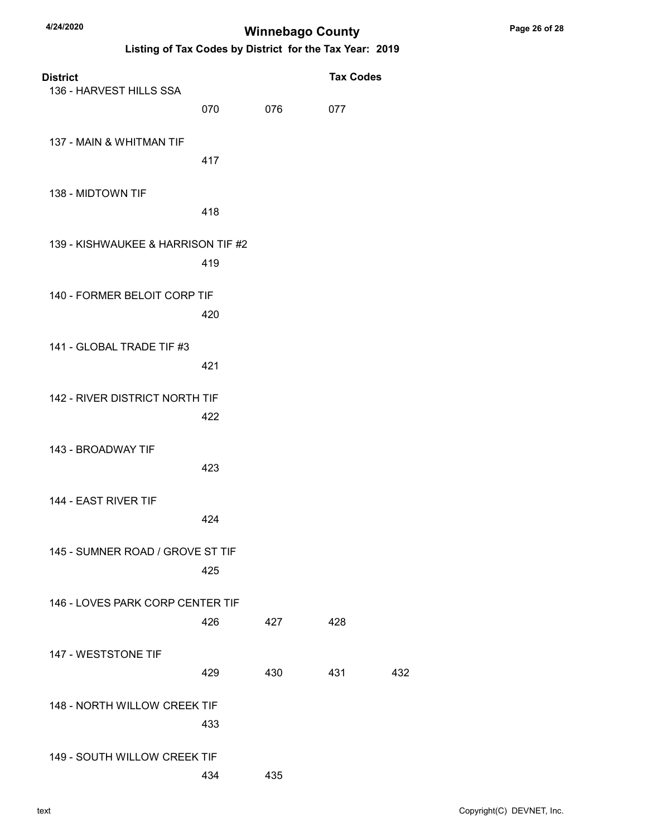| <b>District</b><br>136 - HARVEST HILLS SSA |     |     | <b>Tax Codes</b> |     |
|--------------------------------------------|-----|-----|------------------|-----|
|                                            | 070 | 076 | 077              |     |
| 137 - MAIN & WHITMAN TIF                   | 417 |     |                  |     |
| 138 - MIDTOWN TIF                          | 418 |     |                  |     |
| 139 - KISHWAUKEE & HARRISON TIF #2         | 419 |     |                  |     |
| 140 - FORMER BELOIT CORP TIF               | 420 |     |                  |     |
| 141 - GLOBAL TRADE TIF #3                  | 421 |     |                  |     |
| 142 - RIVER DISTRICT NORTH TIF             | 422 |     |                  |     |
| 143 - BROADWAY TIF                         | 423 |     |                  |     |
| 144 - EAST RIVER TIF                       | 424 |     |                  |     |
| 145 - SUMNER ROAD / GROVE ST TIF           | 425 |     |                  |     |
| 146 - LOVES PARK CORP CENTER TIF           | 426 | 427 | 428              |     |
| 147 - WESTSTONE TIF                        | 429 | 430 | 431              | 432 |
| 148 - NORTH WILLOW CREEK TIF               | 433 |     |                  |     |
| 149 - SOUTH WILLOW CREEK TIF               | 434 | 435 |                  |     |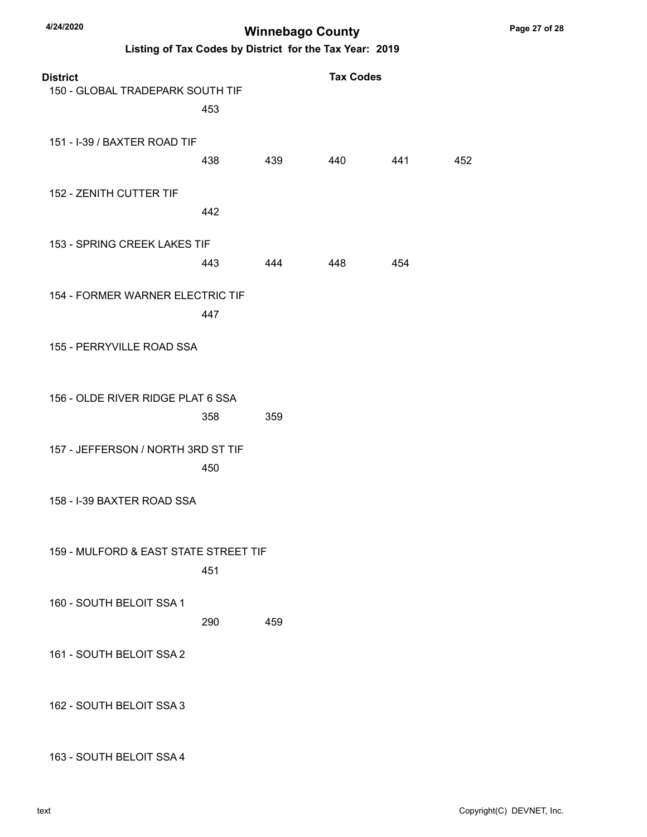Listing of Tax Codes by District for the Tax Year: 2019

| <b>District</b><br>150 - GLOBAL TRADEPARK SOUTH TIF | 453 |     | <b>Tax Codes</b> |     |     |
|-----------------------------------------------------|-----|-----|------------------|-----|-----|
| 151 - I-39 / BAXTER ROAD TIF                        | 438 | 439 | 440              | 441 | 452 |
| 152 - ZENITH CUTTER TIF                             | 442 |     |                  |     |     |
| 153 - SPRING CREEK LAKES TIF                        | 443 | 444 | 448              | 454 |     |
| 154 - FORMER WARNER ELECTRIC TIF                    | 447 |     |                  |     |     |
| 155 - PERRYVILLE ROAD SSA                           |     |     |                  |     |     |
| 156 - OLDE RIVER RIDGE PLAT 6 SSA                   | 358 | 359 |                  |     |     |
| 157 - JEFFERSON / NORTH 3RD ST TIF                  | 450 |     |                  |     |     |
| 158 - I-39 BAXTER ROAD SSA                          |     |     |                  |     |     |
| 159 - MULFORD & EAST STATE STREET TIF               | 451 |     |                  |     |     |
| 160 - SOUTH BELOIT SSA 1                            | 290 | 459 |                  |     |     |
| 161 - SOUTH BELOIT SSA 2                            |     |     |                  |     |     |
| 162 - SOUTH BELOIT SSA 3                            |     |     |                  |     |     |

163 - SOUTH BELOIT SSA 4